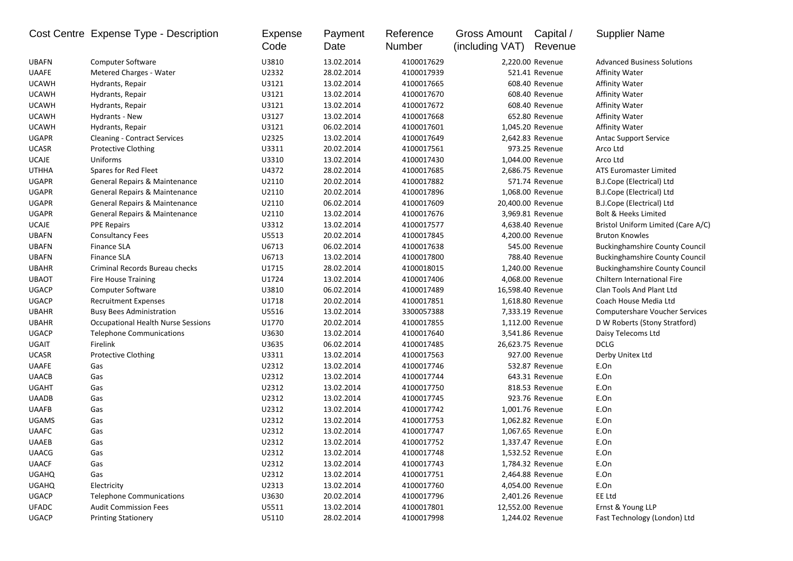|              | Cost Centre Expense Type - Description    | <b>Expense</b><br>Code | Payment<br>Date | Reference<br>Number | Gross Amount<br>(including VAT) | Capital /<br>Revenue | <b>Supplier Name</b>                  |
|--------------|-------------------------------------------|------------------------|-----------------|---------------------|---------------------------------|----------------------|---------------------------------------|
| <b>UBAFN</b> | <b>Computer Software</b>                  | U3810                  | 13.02.2014      | 4100017629          |                                 | 2,220.00 Revenue     | <b>Advanced Business Solutions</b>    |
| <b>UAAFE</b> | Metered Charges - Water                   | U2332                  | 28.02.2014      | 4100017939          |                                 | 521.41 Revenue       | <b>Affinity Water</b>                 |
| <b>UCAWH</b> | Hydrants, Repair                          | U3121                  | 13.02.2014      | 4100017665          |                                 | 608.40 Revenue       | Affinity Water                        |
| <b>UCAWH</b> | Hydrants, Repair                          | U3121                  | 13.02.2014      | 4100017670          |                                 | 608.40 Revenue       | <b>Affinity Water</b>                 |
| <b>UCAWH</b> | Hydrants, Repair                          | U3121                  | 13.02.2014      | 4100017672          |                                 | 608.40 Revenue       | <b>Affinity Water</b>                 |
| <b>UCAWH</b> | Hydrants - New                            | U3127                  | 13.02.2014      | 4100017668          |                                 | 652.80 Revenue       | <b>Affinity Water</b>                 |
| <b>UCAWH</b> | Hydrants, Repair                          | U3121                  | 06.02.2014      | 4100017601          |                                 | 1,045.20 Revenue     | <b>Affinity Water</b>                 |
| <b>UGAPR</b> | <b>Cleaning - Contract Services</b>       | U2325                  | 13.02.2014      | 4100017649          |                                 | 2,642.83 Revenue     | <b>Antac Support Service</b>          |
| <b>UCASR</b> | <b>Protective Clothing</b>                | U3311                  | 20.02.2014      | 4100017561          |                                 | 973.25 Revenue       | Arco Ltd                              |
| <b>UCAJE</b> | Uniforms                                  | U3310                  | 13.02.2014      | 4100017430          |                                 | 1,044.00 Revenue     | Arco Ltd                              |
| <b>UTHHA</b> | Spares for Red Fleet                      | U4372                  | 28.02.2014      | 4100017685          |                                 | 2,686.75 Revenue     | <b>ATS Euromaster Limited</b>         |
| <b>UGAPR</b> | General Repairs & Maintenance             | U2110                  | 20.02.2014      | 4100017882          |                                 | 571.74 Revenue       | B.J.Cope (Electrical) Ltd             |
| <b>UGAPR</b> | General Repairs & Maintenance             | U2110                  | 20.02.2014      | 4100017896          |                                 | 1,068.00 Revenue     | B.J.Cope (Electrical) Ltd             |
| <b>UGAPR</b> | General Repairs & Maintenance             | U2110                  | 06.02.2014      | 4100017609          |                                 | 20,400.00 Revenue    | B.J.Cope (Electrical) Ltd             |
| <b>UGAPR</b> | General Repairs & Maintenance             | U2110                  | 13.02.2014      | 4100017676          |                                 | 3,969.81 Revenue     | <b>Bolt &amp; Heeks Limited</b>       |
| <b>UCAJE</b> | <b>PPE Repairs</b>                        | U3312                  | 13.02.2014      | 4100017577          |                                 | 4,638.40 Revenue     | Bristol Uniform Limited (Care A/C)    |
| <b>UBAFN</b> | <b>Consultancy Fees</b>                   | U5513                  | 20.02.2014      | 4100017845          |                                 | 4,200.00 Revenue     | <b>Bruton Knowles</b>                 |
| <b>UBAFN</b> | <b>Finance SLA</b>                        | U6713                  | 06.02.2014      | 4100017638          |                                 | 545.00 Revenue       | <b>Buckinghamshire County Council</b> |
| <b>UBAFN</b> | Finance SLA                               | U6713                  | 13.02.2014      | 4100017800          |                                 | 788.40 Revenue       | <b>Buckinghamshire County Council</b> |
| <b>UBAHR</b> | Criminal Records Bureau checks            | U1715                  | 28.02.2014      | 4100018015          |                                 | 1,240.00 Revenue     | <b>Buckinghamshire County Council</b> |
| <b>UBAOT</b> | <b>Fire House Training</b>                | U1724                  | 13.02.2014      | 4100017406          |                                 | 4,068.00 Revenue     | Chiltern International Fire           |
| <b>UGACP</b> | <b>Computer Software</b>                  | U3810                  | 06.02.2014      | 4100017489          |                                 | 16,598.40 Revenue    | Clan Tools And Plant Ltd              |
| <b>UGACP</b> | <b>Recruitment Expenses</b>               | U1718                  | 20.02.2014      | 4100017851          |                                 | 1,618.80 Revenue     | Coach House Media Ltd                 |
| <b>UBAHR</b> | <b>Busy Bees Administration</b>           | U5516                  | 13.02.2014      | 3300057388          |                                 | 7,333.19 Revenue     | Computershare Voucher Services        |
| <b>UBAHR</b> | <b>Occupational Health Nurse Sessions</b> | U1770                  | 20.02.2014      | 4100017855          |                                 | 1,112.00 Revenue     | D W Roberts (Stony Stratford)         |
| <b>UGACP</b> | <b>Telephone Communications</b>           | U3630                  | 13.02.2014      | 4100017640          |                                 | 3,541.86 Revenue     | Daisy Telecoms Ltd                    |
| <b>UGAIT</b> | Firelink                                  | U3635                  | 06.02.2014      | 4100017485          |                                 | 26,623.75 Revenue    | <b>DCLG</b>                           |
| <b>UCASR</b> | <b>Protective Clothing</b>                | U3311                  | 13.02.2014      | 4100017563          |                                 | 927.00 Revenue       | Derby Unitex Ltd                      |
| <b>UAAFE</b> | Gas                                       | U2312                  | 13.02.2014      | 4100017746          |                                 | 532.87 Revenue       | E.On                                  |
| <b>UAACB</b> | Gas                                       | U2312                  | 13.02.2014      | 4100017744          |                                 | 643.31 Revenue       | E.On                                  |
| <b>UGAHT</b> | Gas                                       | U2312                  | 13.02.2014      | 4100017750          |                                 | 818.53 Revenue       | E.On                                  |
| <b>UAADB</b> | Gas                                       | U2312                  | 13.02.2014      | 4100017745          |                                 | 923.76 Revenue       | E.On                                  |
| <b>UAAFB</b> | Gas                                       | U2312                  | 13.02.2014      | 4100017742          |                                 | 1,001.76 Revenue     | E.On                                  |
| <b>UGAMS</b> | Gas                                       | U2312                  | 13.02.2014      | 4100017753          |                                 | 1,062.82 Revenue     | E.On                                  |
| <b>UAAFC</b> | Gas                                       | U2312                  | 13.02.2014      | 4100017747          |                                 | 1,067.65 Revenue     | E.On                                  |
| <b>UAAEB</b> | Gas                                       | U2312                  | 13.02.2014      | 4100017752          |                                 | 1.337.47 Revenue     | E.On                                  |
| <b>UAACG</b> | Gas                                       | U2312                  | 13.02.2014      | 4100017748          |                                 | 1,532.52 Revenue     | E.On                                  |
| <b>UAACF</b> | Gas                                       | U2312                  | 13.02.2014      | 4100017743          |                                 | 1,784.32 Revenue     | E.On                                  |
| <b>UGAHQ</b> | Gas                                       | U2312                  | 13.02.2014      | 4100017751          |                                 | 2,464.88 Revenue     | E.On                                  |
| <b>UGAHQ</b> | Electricity                               | U2313                  | 13.02.2014      | 4100017760          |                                 | 4,054.00 Revenue     | E.On                                  |
| <b>UGACP</b> | <b>Telephone Communications</b>           | U3630                  | 20.02.2014      | 4100017796          |                                 | 2,401.26 Revenue     | EE Ltd                                |
| <b>UFADC</b> | <b>Audit Commission Fees</b>              | U5511                  | 13.02.2014      | 4100017801          |                                 | 12,552.00 Revenue    | Ernst & Young LLP                     |
| <b>UGACP</b> | <b>Printing Stationery</b>                | U5110                  | 28.02.2014      | 4100017998          |                                 | 1,244.02 Revenue     | Fast Technology (London) Ltd          |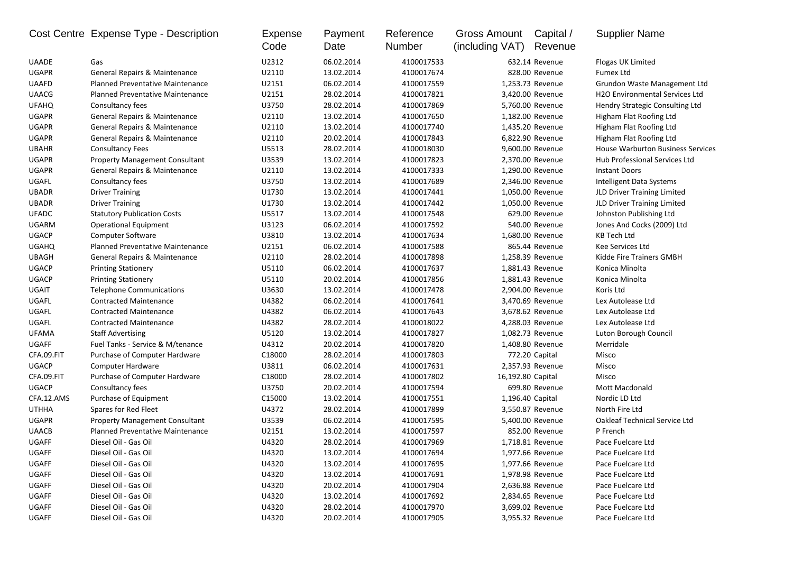|              | Cost Centre Expense Type - Description   | Expense<br>Code | Payment<br>Date | Reference<br>Number | Gross Amount<br>(including VAT) | Capital /<br>Revenue | <b>Supplier Name</b>                        |
|--------------|------------------------------------------|-----------------|-----------------|---------------------|---------------------------------|----------------------|---------------------------------------------|
| <b>UAADE</b> | Gas                                      | U2312           | 06.02.2014      | 4100017533          |                                 | 632.14 Revenue       | Flogas UK Limited                           |
| <b>UGAPR</b> | General Repairs & Maintenance            | U2110           | 13.02.2014      | 4100017674          |                                 | 828.00 Revenue       | <b>Fumex Ltd</b>                            |
| <b>UAAFD</b> | <b>Planned Preventative Maintenance</b>  | U2151           | 06.02.2014      | 4100017559          |                                 | 1,253.73 Revenue     | Grundon Waste Management Ltd                |
| <b>UAACG</b> | <b>Planned Preventative Maintenance</b>  | U2151           | 28.02.2014      | 4100017821          |                                 | 3,420.00 Revenue     | H <sub>2</sub> O Environmental Services Ltd |
| <b>UFAHQ</b> | Consultancy fees                         | U3750           | 28.02.2014      | 4100017869          |                                 | 5,760.00 Revenue     | Hendry Strategic Consulting Ltd             |
| <b>UGAPR</b> | General Repairs & Maintenance            | U2110           | 13.02.2014      | 4100017650          |                                 | 1,182.00 Revenue     | Higham Flat Roofing Ltd                     |
| <b>UGAPR</b> | General Repairs & Maintenance            | U2110           | 13.02.2014      | 4100017740          |                                 | 1,435.20 Revenue     | Higham Flat Roofing Ltd                     |
| <b>UGAPR</b> | General Repairs & Maintenance            | U2110           | 20.02.2014      | 4100017843          |                                 | 6,822.90 Revenue     | Higham Flat Roofing Ltd                     |
| <b>UBAHR</b> | <b>Consultancy Fees</b>                  | U5513           | 28.02.2014      | 4100018030          |                                 | 9,600.00 Revenue     | <b>House Warburton Business Services</b>    |
| <b>UGAPR</b> | <b>Property Management Consultant</b>    | U3539           | 13.02.2014      | 4100017823          |                                 | 2,370.00 Revenue     | Hub Professional Services Ltd               |
| <b>UGAPR</b> | General Repairs & Maintenance            | U2110           | 13.02.2014      | 4100017333          |                                 | 1,290.00 Revenue     | <b>Instant Doors</b>                        |
| UGAFL        | Consultancy fees                         | U3750           | 13.02.2014      | 4100017689          |                                 | 2,346.00 Revenue     | Intelligent Data Systems                    |
| <b>UBADR</b> | <b>Driver Training</b>                   | U1730           | 13.02.2014      | 4100017441          |                                 | 1,050.00 Revenue     | JLD Driver Training Limited                 |
| <b>UBADR</b> | <b>Driver Training</b>                   | U1730           | 13.02.2014      | 4100017442          |                                 | 1,050.00 Revenue     | JLD Driver Training Limited                 |
| <b>UFADC</b> | <b>Statutory Publication Costs</b>       | U5517           | 13.02.2014      | 4100017548          |                                 | 629.00 Revenue       | Johnston Publishing Ltd                     |
| UGARM        | <b>Operational Equipment</b>             | U3123           | 06.02.2014      | 4100017592          |                                 | 540.00 Revenue       | Jones And Cocks (2009) Ltd                  |
| <b>UGACP</b> | Computer Software                        | U3810           | 13.02.2014      | 4100017634          |                                 | 1,680.00 Revenue     | KB Tech Ltd                                 |
| <b>UGAHQ</b> | <b>Planned Preventative Maintenance</b>  | U2151           | 06.02.2014      | 4100017588          |                                 | 865.44 Revenue       | Kee Services Ltd                            |
| <b>UBAGH</b> | <b>General Repairs &amp; Maintenance</b> | U2110           | 28.02.2014      | 4100017898          |                                 | 1,258.39 Revenue     | Kidde Fire Trainers GMBH                    |
| <b>UGACP</b> | <b>Printing Stationery</b>               | U5110           | 06.02.2014      | 4100017637          |                                 | 1,881.43 Revenue     | Konica Minolta                              |
| <b>UGACP</b> | <b>Printing Stationery</b>               | U5110           | 20.02.2014      | 4100017856          |                                 | 1,881.43 Revenue     | Konica Minolta                              |
| <b>UGAIT</b> | <b>Telephone Communications</b>          | U3630           | 13.02.2014      | 4100017478          |                                 | 2,904.00 Revenue     | Koris Ltd                                   |
| UGAFL        | <b>Contracted Maintenance</b>            | U4382           | 06.02.2014      | 4100017641          |                                 | 3,470.69 Revenue     | Lex Autolease Ltd                           |
| UGAFL        | <b>Contracted Maintenance</b>            | U4382           | 06.02.2014      | 4100017643          |                                 | 3,678.62 Revenue     | Lex Autolease Ltd                           |
| UGAFL        | <b>Contracted Maintenance</b>            | U4382           | 28.02.2014      | 4100018022          |                                 | 4,288.03 Revenue     | Lex Autolease Ltd                           |
| <b>UFAMA</b> | <b>Staff Advertising</b>                 | U5120           | 13.02.2014      | 4100017827          |                                 | 1,082.73 Revenue     | Luton Borough Council                       |
| <b>UGAFF</b> | Fuel Tanks - Service & M/tenance         | U4312           | 20.02.2014      | 4100017820          |                                 | 1,408.80 Revenue     | Merridale                                   |
| CFA.09.FIT   | Purchase of Computer Hardware            | C18000          | 28.02.2014      | 4100017803          |                                 | 772.20 Capital       | Misco                                       |
| <b>UGACP</b> | Computer Hardware                        | U3811           | 06.02.2014      | 4100017631          |                                 | 2,357.93 Revenue     | Misco                                       |
| CFA.09.FIT   | Purchase of Computer Hardware            | C18000          | 28.02.2014      | 4100017802          | 16,192.80 Capital               |                      | Misco                                       |
| <b>UGACP</b> | Consultancy fees                         | U3750           | 20.02.2014      | 4100017594          |                                 | 699.80 Revenue       | <b>Mott Macdonald</b>                       |
| CFA.12.AMS   | Purchase of Equipment                    | C15000          | 13.02.2014      | 4100017551          |                                 | 1,196.40 Capital     | Nordic LD Ltd                               |
| <b>UTHHA</b> | Spares for Red Fleet                     | U4372           | 28.02.2014      | 4100017899          |                                 | 3,550.87 Revenue     | North Fire Ltd                              |
| <b>UGAPR</b> | <b>Property Management Consultant</b>    | U3539           | 06.02.2014      | 4100017595          |                                 | 5,400.00 Revenue     | <b>Oakleaf Technical Service Ltd</b>        |
| <b>UAACB</b> | Planned Preventative Maintenance         | U2151           | 13.02.2014      | 4100017597          |                                 | 852.00 Revenue       | P French                                    |
| <b>UGAFF</b> | Diesel Oil - Gas Oil                     | U4320           | 28.02.2014      | 4100017969          |                                 | 1,718.81 Revenue     | Pace Fuelcare Ltd                           |
| UGAFF        | Diesel Oil - Gas Oil                     | U4320           | 13.02.2014      | 4100017694          |                                 | 1,977.66 Revenue     | Pace Fuelcare Ltd                           |
| UGAFF        | Diesel Oil - Gas Oil                     | U4320           | 13.02.2014      | 4100017695          |                                 | 1,977.66 Revenue     | Pace Fuelcare Ltd                           |
| UGAFF        | Diesel Oil - Gas Oil                     | U4320           | 13.02.2014      | 4100017691          |                                 | 1,978.98 Revenue     | Pace Fuelcare Ltd                           |
| UGAFF        | Diesel Oil - Gas Oil                     | U4320           | 20.02.2014      | 4100017904          |                                 | 2,636.88 Revenue     | Pace Fuelcare Ltd                           |
| UGAFF        | Diesel Oil - Gas Oil                     | U4320           | 13.02.2014      | 4100017692          |                                 | 2,834.65 Revenue     | Pace Fuelcare Ltd                           |
| UGAFF        | Diesel Oil - Gas Oil                     | U4320           | 28.02.2014      | 4100017970          |                                 | 3,699.02 Revenue     | Pace Fuelcare Ltd                           |
| UGAFF        | Diesel Oil - Gas Oil                     | U4320           | 20.02.2014      | 4100017905          |                                 | 3,955.32 Revenue     | Pace Fuelcare Ltd                           |